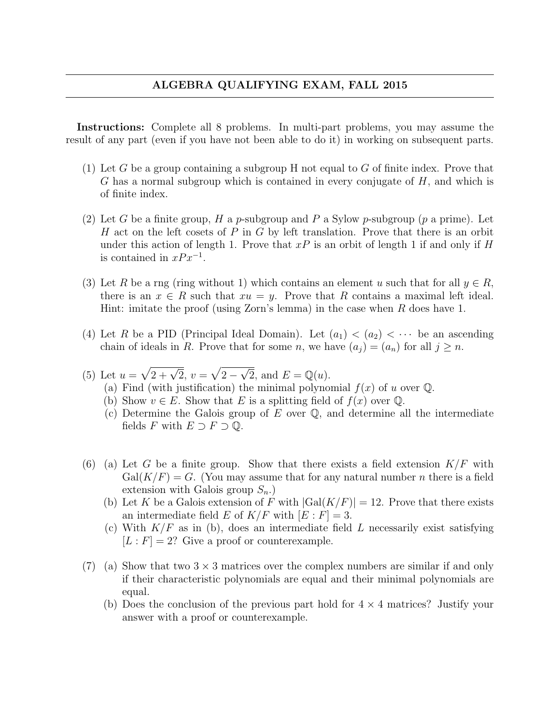## ALGEBRA QUALIFYING EXAM, FALL 2015

Instructions: Complete all 8 problems. In multi-part problems, you may assume the result of any part (even if you have not been able to do it) in working on subsequent parts.

- (1) Let G be a group containing a subgroup H not equal to G of finite index. Prove that G has a normal subgroup which is contained in every conjugate of  $H$ , and which is of finite index.
- (2) Let G be a finite group, H a p-subgroup and P a Sylow p-subgroup (p a prime). Let H act on the left cosets of P in G by left translation. Prove that there is an orbit under this action of length 1. Prove that  $xP$  is an orbit of length 1 if and only if H is contained in  $xPx^{-1}$ .
- (3) Let R be a rng (ring without 1) which contains an element u such that for all  $y \in R$ , there is an  $x \in R$  such that  $xu = y$ . Prove that R contains a maximal left ideal. Hint: imitate the proof (using Zorn's lemma) in the case when R does have 1.
- (4) Let R be a PID (Principal Ideal Domain). Let  $(a_1) < (a_2) < \cdots$  be an ascending chain of ideals in R. Prove that for some n, we have  $(a_i) = (a_n)$  for all  $j \geq n$ .
- (5) Let  $u = \sqrt{2 + \sqrt{2}}, v = \sqrt{2 \sqrt{2}}$  $\overline{\sqrt{2}}$ , and  $E = \mathbb{Q}(u)$ .
	- (a) Find (with justification) the minimal polynomial  $f(x)$  of u over  $\mathbb{Q}$ .
	- (b) Show  $v \in E$ . Show that E is a splitting field of  $f(x)$  over Q.
	- (c) Determine the Galois group of  $E$  over  $\mathbb{Q}$ , and determine all the intermediate fields F with  $E \supset F \supset \mathbb{Q}$ .
- (6) (a) Let G be a finite group. Show that there exists a field extension  $K/F$  with  $Gal(K/F) = G$ . (You may assume that for any natural number n there is a field extension with Galois group  $S_n$ .
	- (b) Let K be a Galois extension of F with  $|Gal(K/F)| = 12$ . Prove that there exists an intermediate field E of  $K/F$  with  $[E : F] = 3$ .
	- (c) With  $K/F$  as in (b), does an intermediate field L necessarily exist satisfying  $[L : F] = 2$ ? Give a proof or counterexample.
- (7) (a) Show that two  $3 \times 3$  matrices over the complex numbers are similar if and only if their characteristic polynomials are equal and their minimal polynomials are equal.
	- (b) Does the conclusion of the previous part hold for  $4 \times 4$  matrices? Justify your answer with a proof or counterexample.